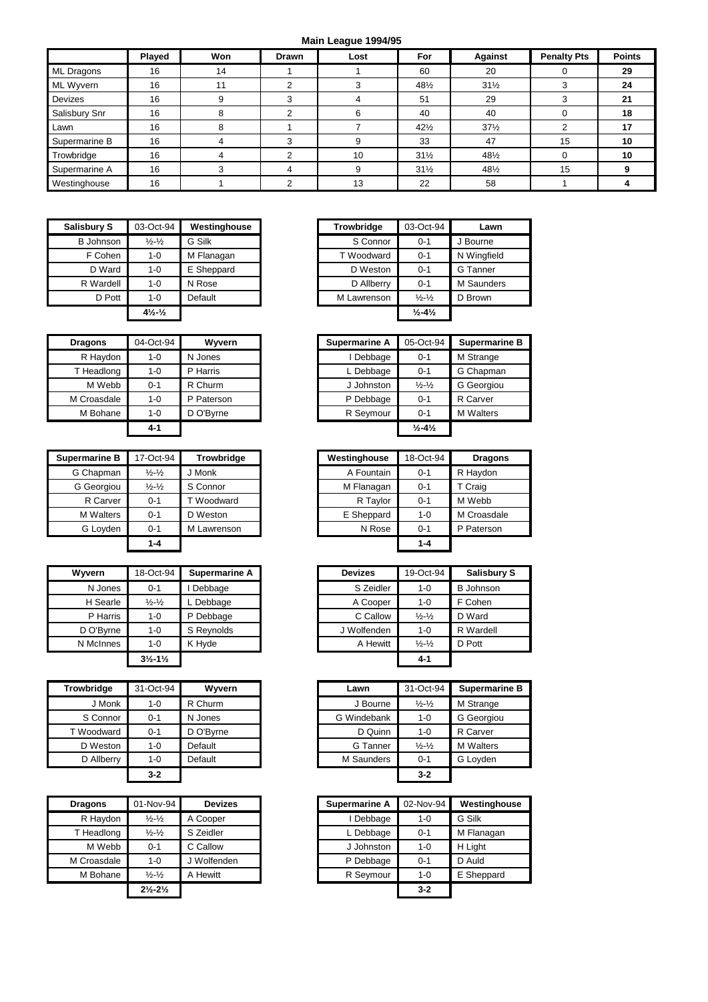## **Main League 1994/95**

| <b>Main League 1994/95</b> |               |     |              |      |                 |                 |                    |               |
|----------------------------|---------------|-----|--------------|------|-----------------|-----------------|--------------------|---------------|
|                            | <b>Played</b> | Won | <b>Drawn</b> | Lost | For             | Against         | <b>Penalty Pts</b> | <b>Points</b> |
| ML Dragons                 | 16            | 14  |              |      | 60              | 20              |                    | 29            |
| ML Wyvern                  | 16            | 11  | C<br>∠       |      | 481/2           | $31\frac{1}{2}$ | 3                  | 24            |
| Devizes                    | 16            | a   | 3            | 4    | 51              | 29              | 3                  | 21            |
| Salisbury Snr              | 16            | 8   | 2            | 6    | 40              | 40              |                    | 18            |
| Lawn                       | 16            | 8   |              |      | $42\frac{1}{2}$ | $37\frac{1}{2}$ | 2                  | 17            |
| Supermarine B              | 16            |     | 3            |      | 33              | 47              | 15                 | 10            |
| Trowbridge                 | 16            | 4   | 2            | 10   | $31\frac{1}{2}$ | 48½             | $\Omega$           | 10            |
| Supermarine A              | 16            |     | 4            | 9    | $31\frac{1}{2}$ | 481/2           | 15                 | g             |
| Westinghouse               | 16            |     | C            | 13   | 22              | 58              |                    |               |

| <b>Salisbury S</b> | 03-Oct-94                      | Westinghouse | <b>Trowbridge</b> | 03-Oct-94                    | Lawn        |
|--------------------|--------------------------------|--------------|-------------------|------------------------------|-------------|
| <b>B</b> Johnson   | $\frac{1}{2} - \frac{1}{2}$    | G Silk       | S Connor          | $0 - 1$                      | Bourne      |
| F Cohen            | $1 - 0$                        | M Flanagan   | T Woodward        | $0 - 1$                      | N Wingfield |
| D Ward             | $1 - 0$                        | E Sheppard   | D Weston          | $0 - 1$                      | G Tanner    |
| R Wardell          | $1 - 0$                        | N Rose       | D Allberry        | $0 - 1$                      | M Saunder   |
| D Pott             | $1 - 0$                        | Default      | M Lawrenson       | $\frac{1}{2} - \frac{1}{2}$  | D Brown     |
|                    | $4\frac{1}{2}$ - $\frac{1}{2}$ |              |                   | $\frac{1}{2} - 4\frac{1}{2}$ |             |

| sbury S   | 03-Oct-94                      | Westinghouse | <b>Trowbridge</b> | 03-Oct-94                    | Lawn        |
|-----------|--------------------------------|--------------|-------------------|------------------------------|-------------|
| 3 Johnson | $\frac{1}{2} - \frac{1}{2}$    | G Silk       | S Connor          | $0 - 1$                      | J Bourne    |
| F Cohen   | 1-0                            | M Flanagan   | T Woodward        | $0 - 1$                      | N Wingfield |
| D Ward    | $1 - 0$                        | E Sheppard   | D Weston          | $0 - 1$                      | G Tanner    |
| R Wardell | 1-0                            | N Rose       | D Allberry        | $0 - 1$                      | M Saunders  |
| D Pott    | $1-0$                          | Default      | M Lawrenson       | $\frac{1}{2} - \frac{1}{2}$  | D Brown     |
|           | $4\frac{1}{2}$ - $\frac{1}{2}$ |              |                   | $\frac{1}{2} - 4\frac{1}{2}$ |             |

| <b>Dragons</b> | 04-Oct-94 | Wyvern     | <b>Supermarine A</b> | 05-Oct-94                    | <b>Superm</b> |
|----------------|-----------|------------|----------------------|------------------------------|---------------|
| R Haydon       | $1 - 0$   | N Jones    | Debbage              | $0 - 1$                      | M Strang      |
| T Headlong     | $1 - 0$   | P Harris   | L Debbage            | $0 - 1$                      | G Chapn       |
| M Webb         | $0 - 1$   | R Churm    | J Johnston           | $\frac{1}{2} - \frac{1}{2}$  | G Georg       |
| M Croasdale    | $1 - 0$   | P Paterson | P Debbage            | $0 - 1$                      | R Carver      |
| M Bohane       | $1 - 0$   | D O'Byrne  | R Seymour            | $0 - 1$                      | M Walter      |
|                | $4 - 1$   |            |                      | $\frac{1}{2} - 4\frac{1}{2}$ |               |

| Supermarine B    | 17-Oct-94                   | <b>Trowbridge</b> | Westinghouse | 18-Oct-94 | <b>Dragons</b> |
|------------------|-----------------------------|-------------------|--------------|-----------|----------------|
| G Chapman        | $\frac{1}{2} - \frac{1}{2}$ | J Monk            | A Fountain   | $0 - 1$   | R Haydon       |
| G Georgiou       | $\frac{1}{2} - \frac{1}{2}$ | S Connor          | M Flanagan   | $0 - 1$   | T Craig        |
| R Carver         | $0 - 1$                     | T Woodward        | R Taylor     | $0 - 1$   | M Webb         |
| <b>M</b> Walters | $0 - 1$                     | D Weston          | E Sheppard   | 1-0       | M Croasdale    |
| G Loyden         | $0 - 1$                     | M Lawrenson       | N Rose       | $0 - 1$   | P Paterson     |
|                  | $1 - 4$                     |                   |              | $1 - 4$   |                |

| <b>Wyvern</b> | 18-Oct-94                     | <b>Supermarine A</b> | <b>Devizes</b> | 19-Oct-94                   | Salisbu          |
|---------------|-------------------------------|----------------------|----------------|-----------------------------|------------------|
| N Jones       | $0 - 1$                       | Debbage              | S Zeidler      | $1 - 0$                     | <b>B</b> Johnsor |
| H Searle      | $\frac{1}{2} - \frac{1}{2}$   | . Debbage            | A Cooper       | $1 - 0$                     | F Cohen          |
| P Harris      | 1-0                           | P Debbage            | C Callow       | $\frac{1}{2} - \frac{1}{2}$ | D Ward           |
| D O'Byrne     | 1-0                           | S Reynolds           | J Wolfenden    | $1 - 0$                     | R Wardell        |
| N McInnes     | $1 - 0$                       | K Hvde               | A Hewitt       | $\frac{1}{2} - \frac{1}{2}$ | D Pott           |
|               | $3\frac{1}{2} - 1\frac{1}{2}$ |                      |                | $4 - 1$                     |                  |

| Trowbridge | 31-Oct-94 | <b>Wyvern</b> | Lawn        | 31-Oct-94                   | Superma          |
|------------|-----------|---------------|-------------|-----------------------------|------------------|
| J Monk     | 1-0       | R Churm       | J Bourne    | $\frac{1}{2} - \frac{1}{2}$ | M Strange        |
| S Connor   | $0 - 1$   | N Jones       | G Windebank | $1 - 0$                     | G Georgic        |
| T Woodward | $0 - 1$   | D O'Byrne     | D Quinn     | $1 - 0$                     | R Carver         |
| D Weston   | 1-0       | Default       | G Tanner    | $\frac{1}{2} - \frac{1}{2}$ | <b>M</b> Walters |
| D Allberry | $1 - 0$   | Default       | M Saunders  | $0 - 1$                     | G Loyden         |
|            | $3-2$     |               |             | $3 - 2$                     |                  |

| <b>Dragons</b> | 01-Nov-94                     | <b>Devizes</b> |
|----------------|-------------------------------|----------------|
| R Haydon       | $\frac{1}{2} - \frac{1}{2}$   | A Cooper       |
| T Headlong     | $\frac{1}{2} - \frac{1}{2}$   | S Zeidler      |
| M Webb         | $0 - 1$                       | C Callow       |
| M Croasdale    | $1 - 0$                       | J Wolfenden    |
| M Bohane       | $\frac{1}{2} - \frac{1}{2}$   | A Hewitt       |
|                | $2\frac{1}{2} - 2\frac{1}{2}$ |                |

| <b>Dragons</b> | 04-Oct-94 | Wvvern     | <b>Supermarine A</b> | 05-Oct-94                    | <b>Supermarine B</b> |
|----------------|-----------|------------|----------------------|------------------------------|----------------------|
| R Haydon       | $1 - 0$   | N Jones    | I Debbage            | $0 - 1$                      | M Strange            |
| T Headlong     | 1-0       | P Harris   | L Debbage            | $0 - 1$                      | G Chapman            |
| M Webb         | 0-1       | R Churm    | J Johnston           | $\frac{1}{2} - \frac{1}{2}$  | G Georgiou           |
| M Croasdale    | 1-0       | P Paterson | P Debbage            | $0 - 1$                      | R Carver             |
| M Bohane       | 1-0       | D O'Bvrne  | R Seymour            | $0 - 1$                      | <b>M</b> Walters     |
|                | 4-1       |            |                      | $\frac{1}{2} - 4\frac{1}{2}$ |                      |

| marine B  | 17-Oct-94                   | Trowbridge  | Westinghouse | 18-Oct-94 | <b>Dragons</b> |
|-----------|-----------------------------|-------------|--------------|-----------|----------------|
| Chapman   | $\frac{1}{2} - \frac{1}{2}$ | J Monk      | A Fountain   | $0 - 1$   | R Haydon       |
| Georgiou  | $\frac{1}{2} - \frac{1}{2}$ | S Connor    | M Flanagan   | $0 - 1$   | T Craig        |
| R Carver  | $0 - 1$                     | T Woodward  | R Taylor     | $0 - 1$   | M Webb         |
| M Walters | $0 - 1$                     | D Weston    | E Sheppard   | $1 - 0$   | M Croasdale    |
| G Loyden  | $0 - 1$                     | M Lawrenson | N Rose       | $0 - 1$   | P Paterson     |
|           | $1 - 4$                     |             |              | $1 - 4$   |                |

| Wvvern    | 18-Oct-94                     | Supermarine A | <b>Devizes</b> | 19-Oct-94                   | <b>Salisbury S</b> |
|-----------|-------------------------------|---------------|----------------|-----------------------------|--------------------|
| N Jones   | $0 - 1$                       | Debbage       | S Zeidler      | $1 - 0$                     | <b>B</b> Johnson   |
| H Searle  | $\frac{1}{2} - \frac{1}{2}$   | L Debbage     | A Cooper       | 1-0                         | F Cohen            |
| P Harris  | $1 - 0$                       | P Debbage     | C Callow       | $\frac{1}{2} - \frac{1}{2}$ | D Ward             |
| D O'Byrne | $1 - 0$                       | S Reynolds    | J Wolfenden    | $1 - 0$                     | R Wardell          |
| N McInnes | $1 - 0$                       | K Hvde        | A Hewitt       | $\frac{1}{2} - \frac{1}{2}$ | D Pott             |
|           | $3\frac{1}{2} - 1\frac{1}{2}$ |               |                | $4 - 1$                     |                    |

| Trowbridge | 31-Oct-94 | Wyvern    | Lawn        | 31-Oct-94                   | <b>Supermarine B</b> |
|------------|-----------|-----------|-------------|-----------------------------|----------------------|
| J Monk     | $1 - 0$   | R Churm   | J Bourne    | $\frac{1}{2} - \frac{1}{2}$ | M Strange            |
| S Connor   | $0 - 1$   | N Jones   | G Windebank | $1 - 0$                     | G Georgiou           |
| T Woodward | $0 - 1$   | D O'Byrne | D Quinn     | $1 - 0$                     | R Carver             |
| D Weston   | $1 - 0$   | Default   | G Tanner    | $\frac{1}{2} - \frac{1}{2}$ | <b>M</b> Walters     |
| D Allberry | $1 - 0$   | Default   | M Saunders  | $0 - 1$                     | G Loyden             |
|            | $3-2$     |           |             | $3 - 2$                     |                      |

| <b>Dragons</b> | 01-Nov-94                     | <b>Devizes</b> | <b>Supermarine A</b> | 02-Nov-94 | Westinghouse |
|----------------|-------------------------------|----------------|----------------------|-----------|--------------|
| R Haydon       | $\frac{1}{2} - \frac{1}{2}$   | A Cooper       | Debbage              | $1 - 0$   | G Silk       |
| T Headlong     | $\frac{1}{2} - \frac{1}{2}$   | S Zeidler      | L Debbage            | $0 - 1$   | M Flanagan   |
| M Webb         | $0 - 1$                       | C Callow       | J Johnston           | 1-0       | H Light      |
| M Croasdale    | 1-0                           | J Wolfenden    | P Debbage            | $0 - 1$   | D Auld       |
| M Bohane       | $\frac{1}{2} - \frac{1}{2}$   | A Hewitt       | R Seymour            | $1 - 0$   | E Sheppard   |
|                | $2\frac{1}{2} - 2\frac{1}{2}$ |                |                      | $3 - 2$   |              |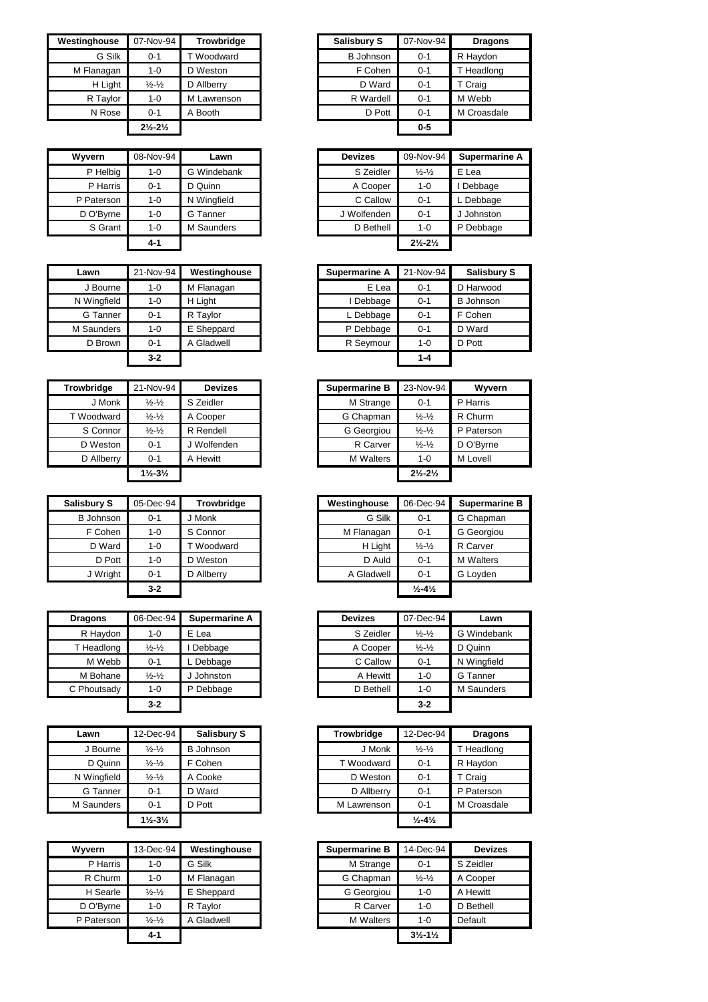| Westinghouse | 07-Nov-94                     | <b>Trowbridge</b> | <b>Salisbury S</b> | 07-Nov-94 | <b>Dragons</b> |
|--------------|-------------------------------|-------------------|--------------------|-----------|----------------|
| G Silk       | $0 - 1$                       | T Woodward        | <b>B</b> Johnson   | $0 - 1$   | R Haydon       |
| M Flanagan   | 1-0                           | D Weston          | F Cohen            | $0 - 1$   | T Headlong     |
| H Light      | $\frac{1}{2} - \frac{1}{2}$   | D Allberry        | D Ward             | $0 - 1$   | T Craig        |
| R Taylor     | 1-0                           | M Lawrenson       | R Wardell          | $0 - 1$   | M Webb         |
| N Rose       | 0-1                           | A Booth           | D Pott             | $0 - 1$   | M Croasdale    |
|              | $2\frac{1}{2} - 2\frac{1}{2}$ |                   |                    | $0 - 5$   |                |

| Wvvern     | 08-Nov-94 | Lawn        | <b>Devizes</b> | 09-Nov-94                     | Supermar   |
|------------|-----------|-------------|----------------|-------------------------------|------------|
| P Helbig   | 1-0       | G Windebank | S Zeidler      | $\frac{1}{2} - \frac{1}{2}$   | E Lea      |
| P Harris   | $0 - 1$   | D Quinn     | A Cooper       | $1 - 0$                       | Debbage    |
| P Paterson | 1-0       | N Wingfield | C Callow       | $0 - 1$                       | L Debbage  |
| D O'Byrne  | 1-0       | G Tanner    | J Wolfenden    | $0 - 1$                       | J Johnston |
| S Grant    | 1-0       | M Saunders  | D Bethell      | $1 - 0$                       | P Debbage  |
|            | 4-1       |             |                | $2\frac{1}{2} - 2\frac{1}{2}$ |            |

| Lawn        | 21-Nov-94 | Westinghouse | <b>Supermarine A</b> | 21-Nov-94 | <b>Salisbu</b>   |
|-------------|-----------|--------------|----------------------|-----------|------------------|
| J Bourne    | 1-0       | M Flanagan   | E Lea                | $0 - 1$   | D Harwood        |
| N Wingfield | $1 - 0$   | H Light      | I Debbage            | $0 - 1$   | <b>B</b> Johnson |
| G Tanner    | $0 - 1$   | R Taylor     | L Debbage            | $0 - 1$   | F Cohen          |
| M Saunders  | 1-0       | E Sheppard   | P Debbage            | $0 - 1$   | D Ward           |
| D Brown     | $0 - 1$   | A Gladwell   | R Seymour            | $1 - 0$   | D Pott           |
|             | $3 - 2$   |              |                      | $1 - 4$   |                  |

| Trowbridge | 21-Nov-94                     | <b>Devizes</b> | <b>Supermarine B</b> | 23-Nov-94                     | Wyvern     |
|------------|-------------------------------|----------------|----------------------|-------------------------------|------------|
| J Monk     | $\frac{1}{2} - \frac{1}{2}$   | S Zeidler      | M Strange            | $0 - 1$                       | P Harris   |
| T Woodward | $\frac{1}{2} - \frac{1}{2}$   | A Cooper       | G Chapman            | $\frac{1}{2} - \frac{1}{2}$   | R Churm    |
| S Connor   | $\frac{1}{2} - \frac{1}{2}$   | R Rendell      | G Georgiou           | $\frac{1}{2} - \frac{1}{2}$   | P Paterson |
| D Weston   | $0 - 1$                       | J Wolfenden    | R Carver             | $\frac{1}{2} - \frac{1}{2}$   | D O'Byrne  |
| D Allberry | $0 - 1$                       | A Hewitt       | <b>M</b> Walters     | 1-0                           | M Lovell   |
|            | $1\frac{1}{2} - 3\frac{1}{2}$ |                |                      | $2\frac{1}{2} - 2\frac{1}{2}$ |            |

| <b>Salisbury S</b> | 05-Dec-94 | <b>Trowbridge</b> |
|--------------------|-----------|-------------------|
| <b>B</b> Johnson   | $0 - 1$   | J Monk            |
| F Cohen            | $1 - 0$   | S Connor          |
| D Ward             | $1 - 0$   | T Woodward        |
| D Pott             | $1 - 0$   | D Weston          |
| J Wright           | $0 - 1$   | D Allberry        |
|                    | 3-2       |                   |

| <b>Dragons</b> | 06-Dec-94<br>Supermarine A  |            | <b>Devizes</b> | 07-Dec-94                   | Lawn        |
|----------------|-----------------------------|------------|----------------|-----------------------------|-------------|
| R Haydon       | 1-0                         | E Lea      | S Zeidler      | $\frac{1}{2} - \frac{1}{2}$ | G Windebar  |
| T Headlong     | $\frac{1}{2} - \frac{1}{2}$ | Debbage    | A Cooper       | $\frac{1}{2} - \frac{1}{2}$ | D Quinn     |
| M Webb         | $0 - 1$                     | Debbage    | C Callow       | $0 - 1$                     | N Wingfield |
| M Bohane       | $\frac{1}{2} - \frac{1}{2}$ | J Johnston | A Hewitt       | $1 - 0$                     | G Tanner    |
| C Phoutsady    | 1-0                         | P Debbage  | D Bethell      | $1 - 0$                     | M Saunders  |
|                | $3 - 2$                     |            |                | $3 - 2$                     |             |

| Lawn        | 12-Dec-94                     | Salisbury S      | <b>Trowbridge</b> | 12-Dec-94                    |        |
|-------------|-------------------------------|------------------|-------------------|------------------------------|--------|
| J Bourne    | $\frac{1}{2} - \frac{1}{2}$   | <b>B</b> Johnson | J Monk            | $\frac{1}{2} - \frac{1}{2}$  |        |
| D Quinn     | $\frac{1}{2} - \frac{1}{2}$   | F Cohen          | T Woodward        | $0 - 1$                      |        |
| N Wingfield | $\frac{1}{2} - \frac{1}{2}$   | A Cooke          | D Weston          | $0 - 1$                      |        |
| G Tanner    | $0 - 1$                       | D Ward           | D Allberry        | $0 - 1$                      |        |
| M Saunders  | $0 - 1$                       | D Pott           | M Lawrenson       | $0 - 1$                      | M Croa |
|             | $1\frac{1}{2} - 3\frac{1}{2}$ |                  |                   | $\frac{1}{2} - 4\frac{1}{2}$ |        |

| <b>Wyvern</b> | 13-Dec-94                   | Westinghouse | <b>Supermarine B</b> | 14-Dec-94                     | Devi      |
|---------------|-----------------------------|--------------|----------------------|-------------------------------|-----------|
| P Harris      | 1-0                         | G Silk       | M Strange            | $0 - 1$                       | S Zeidler |
| R Churm       | 1-0                         | M Flanagan   | G Chapman            | $\frac{1}{2} - \frac{1}{2}$   | A Coope   |
| H Searle      | $\frac{1}{2} - \frac{1}{2}$ | E Sheppard   | G Georgiou           | $1 - 0$                       | A Hewitt  |
| D O'Byrne     | 1-0                         | R Taylor     | R Carver             | $1 - 0$                       | D Bethell |
| P Paterson    | $\frac{1}{2} - \frac{1}{2}$ | A Gladwell   | <b>M</b> Walters     | $1 - 0$                       | Default   |
|               | $4 - 1$                     |              |                      | $3\frac{1}{2} - 1\frac{1}{2}$ |           |

|                               | <b>Trowbridge</b> |           | <b>Salisbury S</b> | 07-Nov-94 | <b>Dragons</b> |
|-------------------------------|-------------------|-----------|--------------------|-----------|----------------|
| $0 - 1$                       | T Woodward        |           | <b>B</b> Johnson   | $0 - 1$   | R Haydon       |
| 1-0                           | D Weston          |           | F Cohen            | $0 - 1$   | T Headlong     |
| $\frac{1}{2} - \frac{1}{2}$   | D Allberry        |           | D Ward             | $0 - 1$   | T Craig        |
| $1 - 0$                       | M Lawrenson       |           | R Wardell          | $0 - 1$   | M Webb         |
| $0 - 1$                       | A Booth           |           | D Pott             | $0 - 1$   | M Croasdale    |
| $2\frac{1}{2} - 2\frac{1}{2}$ |                   |           |                    | $0-5$     |                |
|                               |                   | 07-Nov-94 |                    |           |                |

| Wvvern     | 08-Nov-94 | Lawn        | <b>Devizes</b> | 09-Nov-94                     | <b>Supermarine A</b> |
|------------|-----------|-------------|----------------|-------------------------------|----------------------|
| P Helbig   | $1 - 0$   | G Windebank | S Zeidler      | $\frac{1}{2} - \frac{1}{2}$   | E Lea                |
| P Harris   | $0 - 1$   | D Quinn     | A Cooper       | 1-0                           | Debbage              |
| P Paterson | $1 - 0$   | N Wingfield | C Callow       | $0 - 1$                       | L Debbage            |
| D O'Byrne  | $1 - 0$   | G Tanner    | J Wolfenden    | $0 - 1$                       | J Johnston           |
| S Grant    | $1 - 0$   | M Saunders  | D Bethell      | $1 - 0$                       | P Debbage            |
|            | $4 - 1$   |             |                | $2\frac{1}{2} - 2\frac{1}{2}$ |                      |

| Lawn               | 21-Nov-94 | Westinghouse | Supermarine A | 21-Nov-94 | <b>Salisbury S</b> |
|--------------------|-----------|--------------|---------------|-----------|--------------------|
| J Bourne           | $1 - 0$   | M Flanagan   | E Lea         | $0 - 1$   | D Harwood          |
| <b>V</b> Wingfield | $1 - 0$   | H Light      | I Debbage     | $0 - 1$   | <b>B</b> Johnson   |
| G Tanner           | $0 - 1$   | R Taylor     | ∟ Debbage     | $0 - 1$   | F Cohen            |
| Saunders           | $1 - 0$   | E Sheppard   | P Debbage     | $0 - 1$   | D Ward             |
| D Brown            | $0 - 1$   | A Gladwell   | R Seymour     | $1 - 0$   | D Pott             |
|                    | $3 - 2$   |              |               | $1 - 4$   |                    |

| wbridge    | 21-Nov-94                     | <b>Devizes</b> | <b>Supermarine B</b> | 23-Nov-94                     | Wyvern     |
|------------|-------------------------------|----------------|----------------------|-------------------------------|------------|
| J Monk     | $\frac{1}{2} - \frac{1}{2}$   | S Zeidler      | M Strange            | $0 - 1$                       | P Harris   |
| Voodward   | $\frac{1}{2} - \frac{1}{2}$   | A Cooper       | G Chapman            | $\frac{1}{2} - \frac{1}{2}$   | R Churm    |
| S Connor   | $\frac{1}{2} - \frac{1}{2}$   | R Rendell      | G Georgiou           | $\frac{1}{2} - \frac{1}{2}$   | P Paterson |
| D Weston   | $0 - 1$                       | J Wolfenden    | R Carver             | $\frac{1}{2} - \frac{1}{2}$   | D O'Byrne  |
| D Allberry | $0 - 1$                       | A Hewitt       | <b>M</b> Walters     | $1 - 0$                       | M Lovell   |
|            | $1\frac{1}{2} - 3\frac{1}{2}$ |                |                      | $2\frac{1}{2} - 2\frac{1}{2}$ |            |

| 05-Dec-94 | <b>Trowbridge</b> | Westinghouse | 06-Dec-94                    | <b>Supermarine B</b> |
|-----------|-------------------|--------------|------------------------------|----------------------|
| $0 - 1$   | J Monk            | G Silk       | $0 - 1$                      | G Chapman            |
| $1 - 0$   | S Connor          | M Flanagan   | $0 - 1$                      | G Georgiou           |
| $1 - 0$   | T Woodward        | H Light      | $\frac{1}{2} - \frac{1}{2}$  | R Carver             |
| $1 - 0$   | D Weston          | D Auld       | $0 - 1$                      | <b>M</b> Walters     |
| $0 - 1$   | D Allberry        | A Gladwell   | $0 - 1$                      | G Loyden             |
| $3 - 2$   |                   |              | $\frac{1}{2} - 4\frac{1}{2}$ |                      |
|           |                   |              |                              |                      |

| aqons     | 06-Dec-94                   | Supermarine A | <b>Devizes</b> | 07-Dec-94                   | Lawn        |
|-----------|-----------------------------|---------------|----------------|-----------------------------|-------------|
| R Haydon  | $1 - 0$                     | E Lea         | S Zeidler      | $\frac{1}{2} - \frac{1}{2}$ | G Windebank |
| Headlong  | $\frac{1}{2} - \frac{1}{2}$ | Debbage       | A Cooper       | $\frac{1}{2} - \frac{1}{2}$ | D Quinn     |
| M Webb    | $0 - 1$                     | Debbage       | C Callow       | $0 - 1$                     | N Wingfield |
| M Bohane  | $\frac{1}{2} - \frac{1}{2}$ | Johnston      | A Hewitt       | $1 - 0$                     | G Tanner    |
| Phoutsady | $1-0$                       | P Debbage     | D Bethell      | 1-0                         | M Saunders  |
|           | $3-2$                       |               |                | $3 - 2$                     |             |

| Lawn        | 12-Dec-94                     | Salisbury S      | <b>Trowbridge</b> | 12-Dec-94                    | <b>Dragons</b> |
|-------------|-------------------------------|------------------|-------------------|------------------------------|----------------|
| J Bourne    | $\frac{1}{2} - \frac{1}{2}$   | <b>B</b> Johnson | J Monk            | $\frac{1}{2} - \frac{1}{2}$  | T Headlong     |
| D Quinn     | $\frac{1}{2} - \frac{1}{2}$   | F Cohen          | T Woodward        | $0 - 1$                      | R Haydon       |
| N Wingfield | $\frac{1}{2} - \frac{1}{2}$   | A Cooke          | D Weston          | $0 - 1$                      | T Craig        |
| G Tanner    | $0 - 1$                       | D Ward           | D Allberry        | $0 - 1$                      | P Paterson     |
| M Saunders  | $0 - 1$                       | D Pott           | M Lawrenson       | $0 - 1$                      | M Croasdale    |
|             | $1\frac{1}{2} - 3\frac{1}{2}$ |                  |                   | $\frac{1}{2} - 4\frac{1}{2}$ |                |

| Wvvern     | 13-Dec-94                   | Westinghouse | <b>Supermarine B</b> | 14-Dec-94                     | <b>Devizes</b> |
|------------|-----------------------------|--------------|----------------------|-------------------------------|----------------|
| P Harris   | $1 - 0$                     | G Silk       | M Strange            | $0 - 1$                       | S Zeidler      |
| R Churm    | $1 - 0$                     | M Flanagan   | G Chapman            | $\frac{1}{2} - \frac{1}{2}$   | A Cooper       |
| H Searle   | $\frac{1}{2} - \frac{1}{2}$ | E Sheppard   | G Georgiou           | 1-0                           | A Hewitt       |
| D O'Byrne  | $1 - 0$                     | R Taylor     | R Carver             | 1-0                           | D Bethell      |
| P Paterson | $\frac{1}{2} - \frac{1}{2}$ | A Gladwell   | <b>M</b> Walters     | $1 - 0$                       | Default        |
|            | $4 - 1$                     |              |                      | $3\frac{1}{2} - 1\frac{1}{2}$ |                |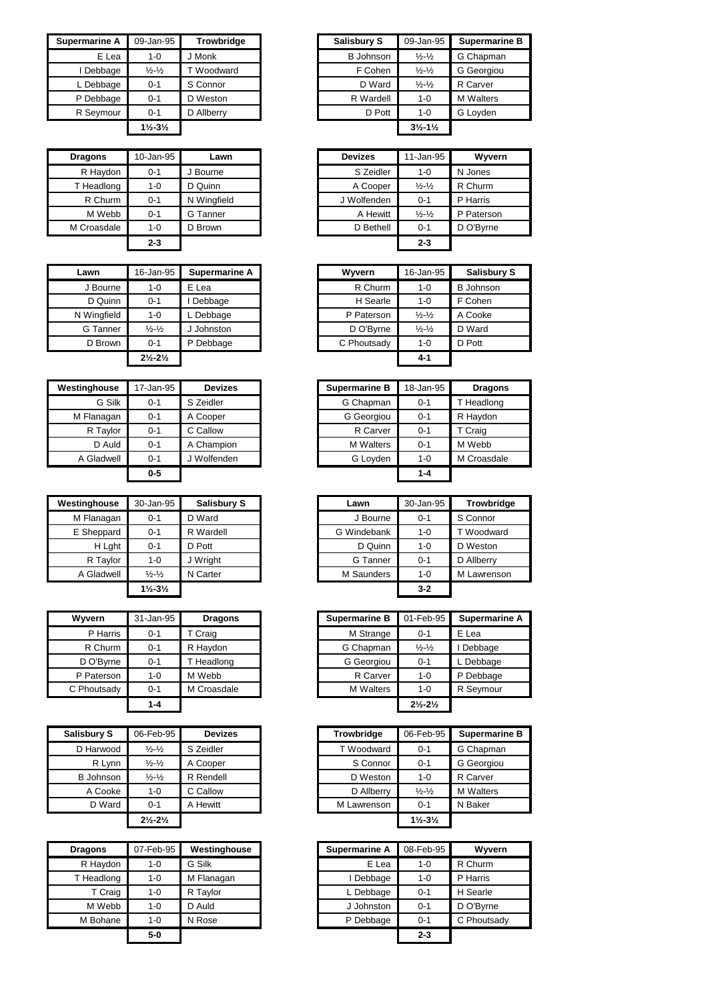| Supermarine A | 09-Jan-95                     | <b>Trowbridge</b> | <b>Salisbury S</b> | 09-Jan-95                     | Superma          |
|---------------|-------------------------------|-------------------|--------------------|-------------------------------|------------------|
| E Lea         | $1 - 0$                       | I Monk            | <b>B</b> Johnson   | $\frac{1}{2} - \frac{1}{2}$   | G Chapma         |
| Debbage       | $\frac{1}{2} - \frac{1}{2}$   | T Woodward        | F Cohen            | $\frac{1}{2} - \frac{1}{2}$   | G Georgic        |
| L Debbage     | $0 - 1$                       | S Connor          | D Ward             | $\frac{1}{2} - \frac{1}{2}$   | R Carver         |
| P Debbage     | $0 - 1$                       | D Weston          | R Wardell          | $1 - 0$                       | <b>M</b> Walters |
| R Seymour     | $0 - 1$                       | D Allberry        | D Pott             | $1 - 0$                       | G Loyden         |
|               | $1\frac{1}{2} - 3\frac{1}{2}$ |                   |                    | $3\frac{1}{2} - 1\frac{1}{2}$ |                  |

| <b>Dragons</b> | 10-Jan-95 | Lawn        | <b>Devizes</b> | 11-Jan-95                   | Wyvern     |
|----------------|-----------|-------------|----------------|-----------------------------|------------|
| R Haydon       | $0 - 1$   | J Bourne    | S Zeidler      | $1 - 0$                     | N Jones    |
| T Headlong     | $1 - 0$   | D Quinn     | A Cooper       | $\frac{1}{2} - \frac{1}{2}$ | R Churm    |
| R Churm        | $0 - 1$   | N Wingfield | J Wolfenden    | $0 - 1$                     | P Harris   |
| M Webb         | $0 - 1$   | G Tanner    | A Hewitt       | $\frac{1}{2} - \frac{1}{2}$ | P Paterson |
| M Croasdale    | 1-0       | D Brown     | D Bethell      | $0 - 1$                     | D O'Byrne  |
|                | $2 - 3$   |             |                | $2 - 3$                     |            |

| Lawn        | 16-Jan-95                     | <b>Supermarine A</b> | Wyvern      | 16-Jan-95                   | <b>Salisk</b> |
|-------------|-------------------------------|----------------------|-------------|-----------------------------|---------------|
| J Bourne    | $1 - 0$                       | E Lea                | R Churm     | $1 - 0$                     | B Johns       |
| D Quinn     | $0 - 1$                       | Debbage              | H Searle    | $1 - 0$                     | F Cohen       |
| N Wingfield | $1 - 0$                       | L Debbage            | P Paterson  | $\frac{1}{2} - \frac{1}{2}$ | A Cooke       |
| G Tanner    | $\frac{1}{2} - \frac{1}{2}$   | J Johnston           | D O'Byrne   | $\frac{1}{2} - \frac{1}{2}$ | D Ward        |
| D Brown     | $0 - 1$                       | Debbage<br>P         | C Phoutsady | $1 - 0$                     | D Pott        |
|             | $2\frac{1}{2} - 2\frac{1}{2}$ |                      |             | $4 - 1$                     |               |

| Westinghouse | 17-Jan-95 | <b>Devizes</b> | <b>Supermarine B</b> | 18-Jan-95 | <b>Dragons</b> |
|--------------|-----------|----------------|----------------------|-----------|----------------|
| G Silk       | 0-1       | S Zeidler      | G Chapman            | $0 - 1$   | T Headlong     |
| M Flanagan   | 0-1       | A Cooper       | G Georgiou           | $0 - 1$   | R Haydon       |
| R Taylor     | 0-1       | C Callow       | R Carver             | $0 - 1$   | T Craig        |
| D Auld       | 0-1       | A Champion     | <b>M</b> Walters     | $0 - 1$   | M Webb         |
| A Gladwell   | $0 - 1$   | J Wolfenden    | G Loyden             | $1 - 0$   | M Croasdale    |
|              | $0-5$     |                |                      | $1 - 4$   |                |

| Westinghouse | 30-Jan-95                     | <b>Salisbury S</b> | Lawn        | 30-Jan-95 | Trowbridge  |
|--------------|-------------------------------|--------------------|-------------|-----------|-------------|
| M Flanagan   | $0 - 1$                       | D Ward             | J Bourne    | $0 - 1$   | S Connor    |
| E Sheppard   | $0 - 1$                       | R Wardell          | G Windebank | $1 - 0$   | T Woodward  |
| H Lght       | $0 - 1$                       | D Pott             | D Quinn     | $1 - 0$   | D Weston    |
| R Taylor     | $1 - 0$                       | J Wright           | G Tanner    | $0 - 1$   | D Allberry  |
| A Gladwell   | $\frac{1}{2} - \frac{1}{2}$   | N Carter           | M Saunders  | $1 - 0$   | M Lawrenson |
|              | $1\frac{1}{2} - 3\frac{1}{2}$ |                    |             | $3 - 2$   |             |

| Wyvern      | 31-Jan-95 | <b>Dragons</b> | <b>Supermarine B</b> | 01-Feb-95                     | Supermar  |
|-------------|-----------|----------------|----------------------|-------------------------------|-----------|
| P Harris    | $0 - 1$   | T Craig        | M Strange            | $0 - 1$                       | E Lea     |
| R Churm     | $0 - 1$   | R Haydon       | G Chapman            | $\frac{1}{2} - \frac{1}{2}$   | Debbage   |
| D O'Byrne   | $0 - 1$   | Headlong       | G Georgiou           | $0 - 1$                       | L Debbage |
| P Paterson  | $1 - 0$   | M Webb         | R Carver             | 1-0                           | P Debbage |
| C Phoutsady | $0 - 1$   | M Croasdale    | <b>M</b> Walters     | 1-0                           | R Seymour |
|             | $1 - 4$   |                |                      | $2\frac{1}{2} - 2\frac{1}{2}$ |           |

| <b>Salisbury S</b> | 06-Feb-95                     | <b>Devizes</b> | <b>Trowbridge</b> | 06-Feb-95                     | <b>Superm</b> |
|--------------------|-------------------------------|----------------|-------------------|-------------------------------|---------------|
| D Harwood          | $\frac{1}{2} - \frac{1}{2}$   | S Zeidler      | T Woodward        | $0 - 1$                       | G Chapn       |
| R Lynn             | $\frac{1}{2} - \frac{1}{2}$   | A Cooper       | S Connor          | $0 - 1$                       | G Georg       |
| <b>B</b> Johnson   | $\frac{1}{2} - \frac{1}{2}$   | R Rendell      | D Weston          | $1 - 0$                       | R Carver      |
| A Cooke            | 1-0                           | C Callow       | D Allberry        | $\frac{1}{2} - \frac{1}{2}$   | M Walter      |
| D Ward             | $0 - 1$                       | A Hewitt       | M Lawrenson       | $0 - 1$                       | N Baker       |
|                    | $2\frac{1}{2} - 2\frac{1}{2}$ |                |                   | $1\frac{1}{2} - 3\frac{1}{2}$ |               |

| <b>Dragons</b> | 07-Feb-95 | Westinghouse | <b>Supermarine A</b> | 08-Feb-95 | Wyvern      |
|----------------|-----------|--------------|----------------------|-----------|-------------|
| R Haydon       | 1-0       | G Silk       | E Lea                | 1-0       | R Churm     |
| T Headlong     | 1-0       | M Flanagan   | Debbage              | 1-0       | P Harris    |
| T Craig        | 1-0       | R Taylor     | L Debbage            | $0 - 1$   | H Searle    |
| M Webb         | 1-0       | D Auld       | J Johnston           | $0 - 1$   | D O'Byrne   |
| M Bohane       | 1-0       | N Rose       | P Debbage            | $0 - 1$   | C Phoutsady |
|                | $5-0$     |              |                      | $2 - 3$   |             |

| Supermarine A | 09-Jan-95                     | <b>Trowbridge</b> | <b>Salisbury S</b> | 09-Jan-95                     | <b>Supermarine B</b> |
|---------------|-------------------------------|-------------------|--------------------|-------------------------------|----------------------|
| E Lea         | 1-0                           | J Monk            | B Johnson          | $\frac{1}{2} - \frac{1}{2}$   | G Chapman            |
| Debbage       | $\frac{1}{2} - \frac{1}{2}$   | T Woodward        | F Cohen            | $\frac{1}{2} - \frac{1}{2}$   | G Georgiou           |
| . Debbage     | $0 - 1$                       | S Connor          | D Ward             | $\frac{1}{2} - \frac{1}{2}$   | R Carver             |
| P Debbage     | $0 - 1$                       | D Weston          | R Wardell          | 1-0                           | <b>M</b> Walters     |
| R Seymour     | $0 - 1$                       | D Allberry        | D Pott             | $1 - 0$                       | G Loyden             |
|               | $1\frac{1}{2} - 3\frac{1}{2}$ |                   |                    | $3\frac{1}{2} - 1\frac{1}{2}$ |                      |

| Lawn        | 11-Jan-95                   |            |
|-------------|-----------------------------|------------|
|             |                             | Wyvern     |
| J Bourne    | $1 - 0$                     | N Jones    |
| D Quinn     | $\frac{1}{2} - \frac{1}{2}$ | R Churm    |
| N Wingfield | $0 - 1$                     | P Harris   |
| G Tanner    | $\frac{1}{2} - \frac{1}{2}$ | P Paterson |
| D Brown     | $0 - 1$                     | D O'Byrne  |
|             | $2 - 3$                     |            |
|             |                             |            |

| Lawn               | 16-Jan-95                     | Supermarine A | Wyvern      | 16-Jan-95                   | <b>Salisbury S</b> |
|--------------------|-------------------------------|---------------|-------------|-----------------------------|--------------------|
| J Bourne           | $1 - 0$                       | E Lea         | R Churm     | 1-0                         | <b>B</b> Johnson   |
| D Quinn            | $0 - 1$                       | Debbage       | H Searle    | 1-0                         | F Cohen            |
| <b>V</b> Wingfield | $1 - 0$                       | Debbage       | P Paterson  | $\frac{1}{2} - \frac{1}{2}$ | A Cooke            |
| G Tanner           | $\frac{1}{2} - \frac{1}{2}$   | J Johnston    | D O'Byrne   | $\frac{1}{2} - \frac{1}{2}$ | D Ward             |
| D Brown            | $0 - 1$                       | P Debbage     | C Phoutsady | $1 - 0$                     | D Pott             |
|                    | $2\frac{1}{2} - 2\frac{1}{2}$ |               |             | $4 - 1$                     |                    |

| inghouse   | 17-Jan-95 | <b>Devizes</b> | <b>Supermarine B</b> | 18-Jan-95 | <b>Dragons</b> |
|------------|-----------|----------------|----------------------|-----------|----------------|
| G Silk     | $0 - 1$   | S Zeidler      | G Chapman            | $0 - 1$   | T Headlong     |
| Flanagan   | $0 - 1$   | A Cooper       | G Georgiou           | $0 - 1$   | R Haydon       |
| R Taylor   | $0 - 1$   | C Callow       | R Carver             | $0 - 1$   | T Craig        |
| D Auld     | $0 - 1$   | A Champion     | <b>M</b> Walters     | $0 - 1$   | M Webb         |
| A Gladwell | $0 - 1$   | J Wolfenden    | G Loyden             | $1 - 0$   | M Croasdale    |
|            | $0-5$     |                |                      | $1 - 4$   |                |

| 30-Jan-95                     | <b>Salisbury S</b> | Lawn        | 30-Jan-95 | <b>Trowbridge</b> |
|-------------------------------|--------------------|-------------|-----------|-------------------|
| $0 - 1$                       | D Ward             | J Bourne    | $0 - 1$   | S Connor          |
| $0 - 1$                       | R Wardell          | G Windebank | 1-0       | T Woodward        |
| $0 - 1$                       | D Pott             | D Quinn     | $1 - 0$   | D Weston          |
| 1-0                           | J Wright           | G Tanner    | $0 - 1$   | D Allberry        |
| $\frac{1}{2} - \frac{1}{2}$   | N Carter           | M Saunders  | $1 - 0$   | M Lawrenson       |
| $1\frac{1}{2} - 3\frac{1}{2}$ |                    |             | $3 - 2$   |                   |
|                               |                    |             |           |                   |

| Wvvern      | 31-Jan-95 | <b>Dragons</b> | <b>Supermarine B</b> | 01-Feb-95                     | <b>Supermarine A</b> |
|-------------|-----------|----------------|----------------------|-------------------------------|----------------------|
| P Harris    | $0 - 1$   | T Craig        | M Strange            | $0 - 1$                       | E Lea                |
| R Churm     | $0 - 1$   | R Haydon       | G Chapman            | $\frac{1}{2} - \frac{1}{2}$   | Debbage              |
| D O'Byrne   | $0 - 1$   | T Headlong     | G Georgiou           | $0 - 1$                       | L Debbage            |
| P Paterson  | $1 - 0$   | M Webb         | R Carver             | $1 - 0$                       | P Debbage            |
| C Phoutsady | $0 - 1$   | M Croasdale    | <b>M</b> Walters     | $1 - 0$                       | R Seymour            |
|             | $1 - 4$   |                |                      | $2\frac{1}{2} - 2\frac{1}{2}$ |                      |

| Salisbury S      | 06-Feb-95                     | <b>Devizes</b> | <b>Trowbridge</b> | 06-Feb-95                     | <b>Supermarine B</b> |
|------------------|-------------------------------|----------------|-------------------|-------------------------------|----------------------|
| D Harwood        | $\frac{1}{2} - \frac{1}{2}$   | S Zeidler      | T Woodward        | $0 - 1$                       | G Chapman            |
| R Lvnn           | $\frac{1}{2} - \frac{1}{2}$   | A Cooper       | S Connor          | $0 - 1$                       | G Georgiou           |
| <b>B</b> Johnson | $\frac{1}{2} - \frac{1}{2}$   | R Rendell      | D Weston          | $1 - 0$                       | R Carver             |
| A Cooke          | $1 - 0$                       | C Callow       | D Allberry        | $\frac{1}{2} - \frac{1}{2}$   | <b>M</b> Walters     |
| D Ward           | $0 - 1$                       | A Hewitt       | M Lawrenson       | $0 - 1$                       | N Baker              |
|                  | $2\frac{1}{2} - 2\frac{1}{2}$ |                |                   | $1\frac{1}{2} - 3\frac{1}{2}$ |                      |

| agons    | 07-Feb-95 | Westinghouse | <b>Supermarine A</b> | 08-Feb-95 | Wyvern      |
|----------|-----------|--------------|----------------------|-----------|-------------|
| R Haydon | 1-0       | G Silk       | E Lea                | $1 - 0$   | R Churm     |
| Headlong | 1-0       | M Flanagan   | Debbage              | $1 - 0$   | P Harris    |
| T Craig  | 1-0       | R Tavlor     | L Debbage            | $0 - 1$   | H Searle    |
| M Webb   | $1 - 0$   | D Auld       | J Johnston           | $0 - 1$   | D O'Byrne   |
| M Bohane | $1 - 0$   | N Rose       | P Debbage            | $0 - 1$   | C Phoutsady |
|          | $5-0$     |              |                      | $2 - 3$   |             |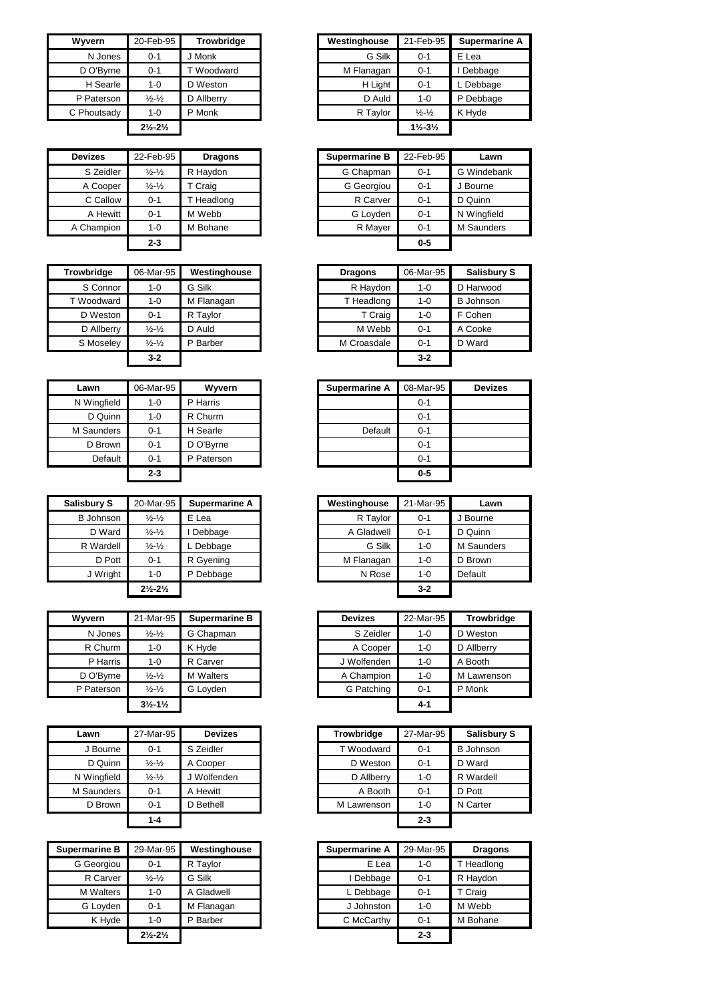| <b>Wyvern</b> | 20-Feb-95                     | <b>Trowbridge</b> | Westinghouse | 21-Feb-95                     | Superi |
|---------------|-------------------------------|-------------------|--------------|-------------------------------|--------|
| N Jones       | $0 - 1$                       | J Monk            | G Silk       | $0 - 1$                       | E Lea  |
| D O'Byrne     | $0 - 1$                       | T Woodward        | M Flanagan   | $0 - 1$                       | Debba  |
| H Searle      | $1 - 0$                       | D Weston          | H Light      | $0 - 1$                       | L Debb |
| P Paterson    | $\frac{1}{2} - \frac{1}{2}$   | D Allberry        | D Auld       | 1-0                           | P Debb |
| C Phoutsady   | $1 - 0$                       | P Monk            | R Taylor     | $\frac{1}{2} - \frac{1}{2}$   | K Hyde |
|               | $2\frac{1}{2} - 2\frac{1}{2}$ |                   |              | $1\frac{1}{2} - 3\frac{1}{2}$ |        |

| <b>Devizes</b> | 22-Feb-95                   | <b>Dragons</b> | <b>Supermarine B</b> |            | 22-Feb-95 | Lawn        |
|----------------|-----------------------------|----------------|----------------------|------------|-----------|-------------|
| S Zeidler      | $\frac{1}{2} - \frac{1}{2}$ | R Haydon       |                      | G Chapman  | $0 - 1$   | G Windebar  |
| A Cooper       | $\frac{1}{2} - \frac{1}{2}$ | Craig          |                      | G Georgiou | $0 - 1$   | J Bourne    |
| C Callow       | 0-1                         | Headlong       |                      | R Carver   | $0 - 1$   | D Quinn     |
| A Hewitt       | 0-1                         | M Webb         |                      | G Loyden   | $0 - 1$   | N Wingfield |
| A Champion     | $1 - 0$                     | M Bohane       |                      | R Mayer    | $0 - 1$   | M Saunders  |
|                | $2 - 3$                     |                |                      |            | $0-5$     |             |

| Trowbridge | 06-Mar-95                   | Westinghouse | <b>Dragons</b> | 06-Mar-95 | <b>Salisbury S</b> |
|------------|-----------------------------|--------------|----------------|-----------|--------------------|
| S Connor   | 1-0                         | G Silk       | R Haydon       | 1-0       | D Harwood          |
| T Woodward | 1-0                         | M Flanagan   | T Headlong     | $1 - 0$   | <b>B</b> Johnson   |
| D Weston   | $0 - 1$                     | R Taylor     | T Craig        | $1 - 0$   | F Cohen            |
| D Allberry | $\frac{1}{2} - \frac{1}{2}$ | D Auld       | M Webb         | $0 - 1$   | A Cooke            |
| S Moseley  | $\frac{1}{2} - \frac{1}{2}$ | P Barber     | M Croasdale    | $0 - 1$   | D Ward             |
|            | $3 - 2$                     |              |                | $3 - 2$   |                    |

| Lawn        | 06-Mar-95 | Wyvern     | <b>Supermarine A</b> | 08-Ma |
|-------------|-----------|------------|----------------------|-------|
| N Wingfield | $1 - 0$   | P Harris   |                      |       |
| D Quinn     | $1 - 0$   | R Churm    |                      |       |
| M Saunders  | $0 - 1$   | H Searle   | Default              |       |
| D Brown     | $0 - 1$   | D O'Byrne  |                      |       |
| Default     | $0 - 1$   | P Paterson |                      |       |
|             | $2 - 3$   |            |                      |       |

| <b>Salisbury S</b> | 20-Mar-95                     | Supermarine A | Westinghouse | 21-Mar-95 | Lawn          |
|--------------------|-------------------------------|---------------|--------------|-----------|---------------|
| B Johnson          | $\frac{1}{2} - \frac{1}{2}$   | E Lea         | R Taylor     | $0 - 1$   | <b>Bourne</b> |
| D Ward             | $\frac{1}{2} - \frac{1}{2}$   | Debbage       | A Gladwell   | $0 - 1$   | D Quinn       |
| R Wardell          | $\frac{1}{2} - \frac{1}{2}$   | Debbage       | G Silk       | $1 - 0$   | M Saunder     |
| D Pott             | $0 - 1$                       | R Gyening     | M Flanagan   | 1-0       | D Brown       |
| J Wright           | $1 - 0$                       | P Debbage     | N Rose       | 1-0       | Default       |
|                    | $2\frac{1}{2} - 2\frac{1}{2}$ |               |              | $3 - 2$   |               |

| Wvvern     | 21-Mar-95                     | Supermarine B    | <b>Devizes</b> | 22-Mar-95 | <b>Trow</b> |
|------------|-------------------------------|------------------|----------------|-----------|-------------|
| N Jones    | $\frac{1}{2} - \frac{1}{2}$   | G Chapman        | S Zeidler      | $1 - 0$   | D West      |
| R Churm    | $1 - 0$                       | K Hvde           | A Cooper       | $1 - 0$   | D Allber    |
| P Harris   | $1 - 0$                       | R Carver         | J Wolfenden    | $1 - 0$   | A Booth     |
| D O'Byrne  | $\frac{1}{2} - \frac{1}{2}$   | <b>M</b> Walters | A Champion     | $1 - 0$   | M Lawre     |
| P Paterson | $\frac{1}{2} - \frac{1}{2}$   | G Lovden         | G Patching     | $0 - 1$   | P Monk      |
|            | $3\frac{1}{2} - 1\frac{1}{2}$ |                  |                | $4 - 1$   |             |

| Lawn        | 27-Mar-95                   | <b>Devizes</b> | <b>Trowbridge</b> | 27-Mar-95 | Salisbu          |
|-------------|-----------------------------|----------------|-------------------|-----------|------------------|
| J Bourne    | $0 - 1$                     | S Zeidler      | T Woodward        | $0 - 1$   | <b>B</b> Johnsor |
| D Quinn     | $\frac{1}{2} - \frac{1}{2}$ | A Cooper       | D Weston          | $0 - 1$   | D Ward           |
| N Wingfield | $\frac{1}{2} - \frac{1}{2}$ | Wolfenden      | D Allberry        | $1 - 0$   | R Wardell        |
| M Saunders  | $0 - 1$                     | A Hewitt       | A Booth           | $0 - 1$   | D Pott           |
| D Brown     | $0 - 1$                     | D Bethell      | M Lawrenson       | $1 - 0$   | N Carter         |
|             | $1 - 4$                     |                |                   | $2 - 3$   |                  |

| Supermarine B    | 29-Mar-95                     | Westinghouse | <b>Supermarine A</b> | 29-Mar-95 | <b>Dragons</b> |
|------------------|-------------------------------|--------------|----------------------|-----------|----------------|
| G Georgiou       | $0 - 1$                       | R Taylor     | E Lea                | 1-0       | T Headlong     |
| R Carver         | $\frac{1}{2} - \frac{1}{2}$   | G Silk       | I Debbage            | $0 - 1$   | R Haydon       |
| <b>M</b> Walters | 1-0                           | A Gladwell   | L Debbage            | $0 - 1$   | T Craig        |
| G Lovden         | $0 - 1$                       | M Flanagan   | J Johnston           | 1-0       | M Webb         |
| K Hyde           | 1-0                           | P Barber     | C McCarthy           | $0 - 1$   | M Bohane       |
|                  | $2\frac{1}{2} - 2\frac{1}{2}$ |              |                      | $2 - 3$   |                |

| Wvvern      | 20-Feb-95                     | <b>Trowbridge</b> | Westinghouse | 21-Feb-95                     | Supermarine A |
|-------------|-------------------------------|-------------------|--------------|-------------------------------|---------------|
| N Jones     | $0 - 1$                       | J Monk            | G Silk       | $0 - 1$                       | E Lea         |
| D O'Byrne   | $0 - 1$                       | T Woodward        | M Flanagan   | $0 - 1$                       | Debbage       |
| H Searle    | 1-0                           | D Weston          | H Light      | $0 - 1$                       | L Debbage     |
| P Paterson  | $\frac{1}{2} - \frac{1}{2}$   | D Allberry        | D Auld       | $1 - 0$                       | P Debbage     |
| C Phoutsady | 1-0                           | P Monk            | R Taylor     | $\frac{1}{2} - \frac{1}{2}$   | K Hyde        |
|             | $2\frac{1}{2} - 2\frac{1}{2}$ |                   |              | $1\frac{1}{2} - 3\frac{1}{2}$ |               |

| vizes     | 22-Feb-95                   | <b>Dragons</b> | <b>Supermarine B</b> | 22-Feb-95 | Lawn        |
|-----------|-----------------------------|----------------|----------------------|-----------|-------------|
| S Zeidler | $\frac{1}{2} - \frac{1}{2}$ | R Haydon       | G Chapman            | $0 - 1$   | G Windebank |
| A Cooper  | $\frac{1}{2} - \frac{1}{2}$ | T Craig        | G Georgiou           | $0 - 1$   | J Bourne    |
| C Callow  | $0 - 1$                     | T Headlong     | R Carver             | $0 - 1$   | D Quinn     |
| A Hewitt  | $0 - 1$                     | M Webb         | G Loyden             | $0 - 1$   | N Wingfield |
| hampion:  | 1-0                         | M Bohane       | R Mayer              | $0 - 1$   | M Saunders  |
|           | $2 - 3$                     |                |                      | $0 - 5$   |             |
|           |                             |                |                      |           |             |

| /bridge    | 06-Mar-95                   | Westinghouse | <b>Dragons</b> | 06-Mar-95 | Salisbury S      |
|------------|-----------------------------|--------------|----------------|-----------|------------------|
| S Connor   | $1 - 0$                     | G Silk       | R Haydon       | $1 - 0$   | D Harwood        |
| Voodward   | 1-0                         | M Flanagan   | T Headlong     | $1 - 0$   | <b>B</b> Johnson |
| D Weston   | $0 - 1$                     | R Taylor     | T Craig        | $1 - 0$   | F Cohen          |
| D Allberry | $\frac{1}{2} - \frac{1}{2}$ | D Auld       | M Webb         | $0 - 1$   | A Cooke          |
| Moseley    | $\frac{1}{2} - \frac{1}{2}$ | P Barber     | M Croasdale    | $0 - 1$   | D Ward           |
|            | $3-2$                       |              |                | $3 - 2$   |                  |

| Lawn               | 06-Mar-95 | Wyvern     | Supermarine A | 08-Mar-95 |
|--------------------|-----------|------------|---------------|-----------|
| <b>V</b> Wingfield | $1 - 0$   | P Harris   |               | $0 - 1$   |
| D Quinn            | $1 - 0$   | R Churm    |               | $0 - 1$   |
| Saunders           | $0 - 1$   | H Searle   | Default       | $0 - 1$   |
| D Brown            | $0 - 1$   | D O'Byrne  |               | $0 - 1$   |
| Default            | $0 - 1$   | P Paterson |               | $0 - 1$   |
|                    | $2 - 3$   |            |               | $0 - 5$   |

| sbury S   | 20-Mar-95                     | Supermarine A | Westinghouse | 21-Mar-95 | Lawn       |
|-----------|-------------------------------|---------------|--------------|-----------|------------|
| . Johnson | $\frac{1}{2} - \frac{1}{2}$   | E Lea         | R Taylor     | $0 - 1$   | J Bourne   |
| D Ward    | $\frac{1}{2} - \frac{1}{2}$   | Debbage       | A Gladwell   | $0 - 1$   | D Quinn    |
| R Wardell | $\frac{1}{2} - \frac{1}{2}$   | Debbage       | G Silk       | $1 - 0$   | M Saunders |
| D Pott    | $0 - 1$                       | R Gyening     | M Flanagan   | 1-0       | D Brown    |
| J Wright  | $1 - 0$                       | P Debbage     | N Rose       | $1 - 0$   | Default    |
|           | $2\frac{1}{2} - 2\frac{1}{2}$ |               |              | $3 - 2$   |            |

| Wvvern     | 21-Mar-95                     | Supermarine B    | <b>Devizes</b> | 22-Mar-95 | Trowbridge  |
|------------|-------------------------------|------------------|----------------|-----------|-------------|
| N Jones    | $\frac{1}{2} - \frac{1}{2}$   | G Chapman        | S Zeidler      | $1 - 0$   | D Weston    |
| R Churm    | $1 - 0$                       | K Hyde           | A Cooper       | $1 - 0$   | D Allberry  |
| P Harris   | $1 - 0$                       | R Carver         | J Wolfenden    | 1-0       | A Booth     |
| D O'Byrne  | $\frac{1}{2} - \frac{1}{2}$   | <b>M</b> Walters | A Champion     | 1-0       | M Lawrenson |
| P Paterson | $\frac{1}{2} - \frac{1}{2}$   | G Loyden         | G Patching     | $0 - 1$   | P Monk      |
|            | $3\frac{1}{2} - 1\frac{1}{2}$ |                  |                | $4 - 1$   |             |

| Lawn               | 27-Mar-95                   | <b>Devizes</b> | <b>Trowbridge</b> | 27-Mar-95 | <b>Salisbury S</b> |
|--------------------|-----------------------------|----------------|-------------------|-----------|--------------------|
| J Bourne           | $0 - 1$                     | S Zeidler      | T Woodward        | $0 - 1$   | <b>B</b> Johnson   |
| D Quinn            | $\frac{1}{2} - \frac{1}{2}$ | A Cooper       | D Weston          | $0 - 1$   | D Ward             |
| <b>V</b> Wingfield | $\frac{1}{2} - \frac{1}{2}$ | J Wolfenden    | D Allberry        | 1-0       | R Wardell          |
| Saunders           | $0 - 1$                     | A Hewitt       | A Booth           | $0 - 1$   | D Pott             |
| D Brown            | $0 - 1$                     | D Bethell      | M Lawrenson       | 1-0       | N Carter           |
|                    | $1 - 4$                     |                |                   | $2 - 3$   |                    |
|                    |                             |                |                   |           |                    |

| ermarine B | 29-Mar-95                     | Westinghouse | <b>Supermarine A</b> | 29-Mar-95 | <b>Dragons</b> |
|------------|-------------------------------|--------------|----------------------|-----------|----------------|
| G Georgiou | $0 - 1$                       | R Taylor     | E Lea                | 1-0       | T Headlong     |
| R Carver   | $\frac{1}{2} - \frac{1}{2}$   | G Silk       | Debbage              | $0 - 1$   | R Haydon       |
| M Walters  | $1 - 0$                       | A Gladwell   | ∟ Debbage            | $0 - 1$   | T Craig        |
| G Loyden   | $0 - 1$                       | M Flanagan   | J Johnston           | 1-0       | M Webb         |
| K Hyde     | $1 - 0$                       | P Barber     | C McCarthy           | $0 - 1$   | M Bohane       |
|            | $2\frac{1}{2} - 2\frac{1}{2}$ |              |                      | $2 - 3$   |                |